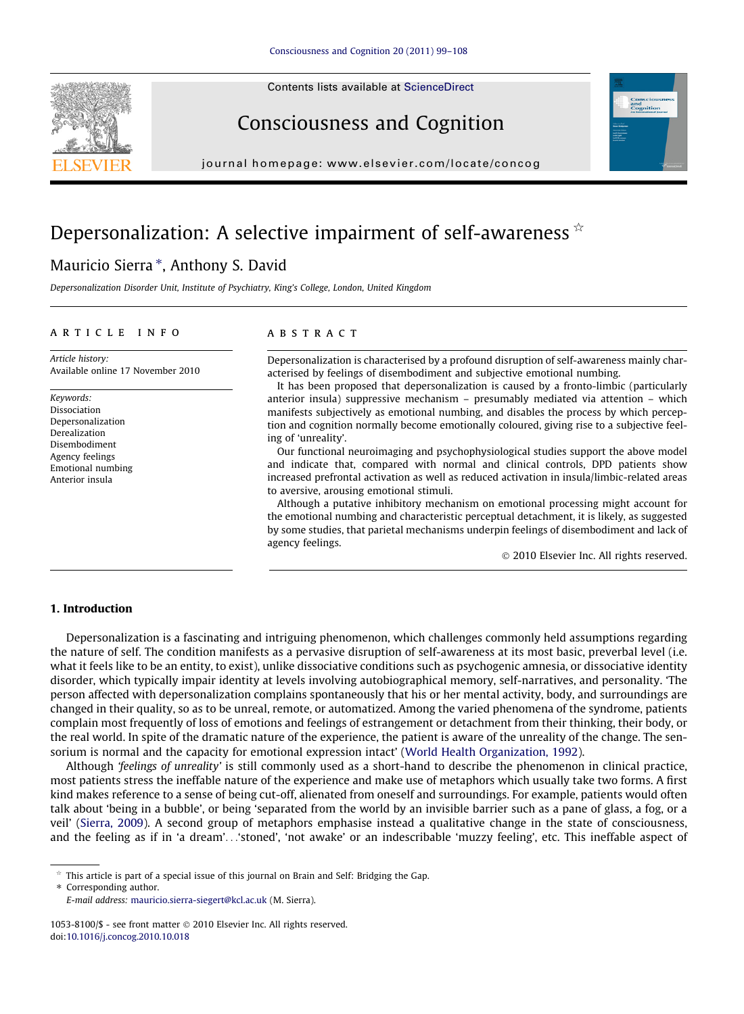Contents lists available at [ScienceDirect](http://www.sciencedirect.com/science/journal/10538100)





### Consciousness and Cognition

journal homepage: [www.elsevier.com/locate/concog](http://www.elsevier.com/locate/concog)

## Depersonalization: A selective impairment of self-awareness  $\dot{\mathbf{x}}$

### Mauricio Sierra \*, Anthony S. David

Depersonalization Disorder Unit, Institute of Psychiatry, King's College, London, United Kingdom

#### article info

Article history: Available online 17 November 2010

Keywords: Dissociation Depersonalization Derealization Disembodiment Agency feelings Emotional numbing Anterior insula

#### **ABSTRACT**

Depersonalization is characterised by a profound disruption of self-awareness mainly characterised by feelings of disembodiment and subjective emotional numbing.

It has been proposed that depersonalization is caused by a fronto-limbic (particularly anterior insula) suppressive mechanism – presumably mediated via attention – which manifests subjectively as emotional numbing, and disables the process by which perception and cognition normally become emotionally coloured, giving rise to a subjective feeling of 'unreality'.

Our functional neuroimaging and psychophysiological studies support the above model and indicate that, compared with normal and clinical controls, DPD patients show increased prefrontal activation as well as reduced activation in insula/limbic-related areas to aversive, arousing emotional stimuli.

Although a putative inhibitory mechanism on emotional processing might account for the emotional numbing and characteristic perceptual detachment, it is likely, as suggested by some studies, that parietal mechanisms underpin feelings of disembodiment and lack of agency feelings.

- 2010 Elsevier Inc. All rights reserved.

#### 1. Introduction

Depersonalization is a fascinating and intriguing phenomenon, which challenges commonly held assumptions regarding the nature of self. The condition manifests as a pervasive disruption of self-awareness at its most basic, preverbal level (i.e. what it feels like to be an entity, to exist), unlike dissociative conditions such as psychogenic amnesia, or dissociative identity disorder, which typically impair identity at levels involving autobiographical memory, self-narratives, and personality. 'The person affected with depersonalization complains spontaneously that his or her mental activity, body, and surroundings are changed in their quality, so as to be unreal, remote, or automatized. Among the varied phenomena of the syndrome, patients complain most frequently of loss of emotions and feelings of estrangement or detachment from their thinking, their body, or the real world. In spite of the dramatic nature of the experience, the patient is aware of the unreality of the change. The sensorium is normal and the capacity for emotional expression intact' ([World Health Organization, 1992](#page--1-0)).

Although 'feelings of unreality' is still commonly used as a short-hand to describe the phenomenon in clinical practice, most patients stress the ineffable nature of the experience and make use of metaphors which usually take two forms. A first kind makes reference to a sense of being cut-off, alienated from oneself and surroundings. For example, patients would often talk about 'being in a bubble', or being 'separated from the world by an invisible barrier such as a pane of glass, a fog, or a veil' ([Sierra, 2009](#page--1-0)). A second group of metaphors emphasise instead a qualitative change in the state of consciousness, and the feeling as if in 'a dream'...'stoned', 'not awake' or an indescribable 'muzzy feeling', etc. This ineffable aspect of

 $\dot{\tau}$  This article is part of a special issue of this journal on Brain and Self: Bridging the Gap.

<sup>⇑</sup> Corresponding author. E-mail address: [mauricio.sierra-siegert@kcl.ac.uk](mailto:mauricio.sierra-siegert@kcl.ac.uk) (M. Sierra).

<sup>1053-8100/\$ -</sup> see front matter © 2010 Elsevier Inc. All rights reserved. doi:[10.1016/j.concog.2010.10.018](http://dx.doi.org/10.1016/j.concog.2010.10.018)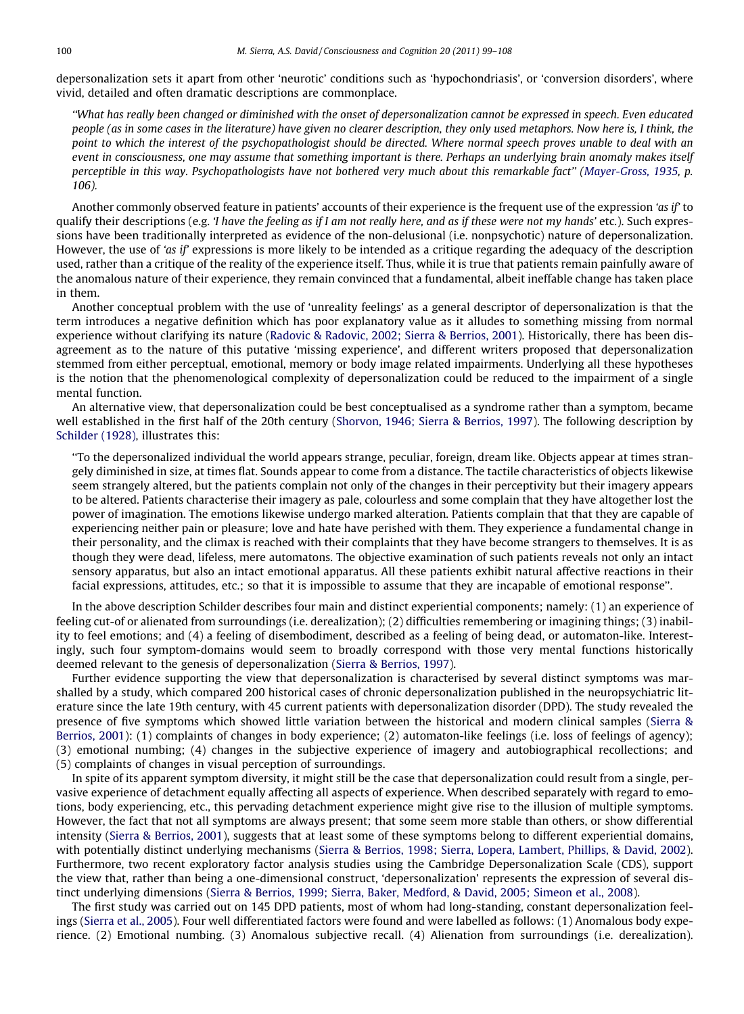depersonalization sets it apart from other 'neurotic' conditions such as 'hypochondriasis', or 'conversion disorders', where vivid, detailed and often dramatic descriptions are commonplace.

''What has really been changed or diminished with the onset of depersonalization cannot be expressed in speech. Even educated people (as in some cases in the literature) have given no clearer description, they only used metaphors. Now here is, I think, the point to which the interest of the psychopathologist should be directed. Where normal speech proves unable to deal with an event in consciousness, one may assume that something important is there. Perhaps an underlying brain anomaly makes itself perceptible in this way. Psychopathologists have not bothered very much about this remarkable fact'' ([Mayer-Gross, 1935](#page--1-0), p. 106).

Another commonly observed feature in patients' accounts of their experience is the frequent use of the expression 'as if' to qualify their descriptions (e.g. 'I have the feeling as if I am not really here, and as if these were not my hands' etc.). Such expressions have been traditionally interpreted as evidence of the non-delusional (i.e. nonpsychotic) nature of depersonalization. However, the use of 'as if' expressions is more likely to be intended as a critique regarding the adequacy of the description used, rather than a critique of the reality of the experience itself. Thus, while it is true that patients remain painfully aware of the anomalous nature of their experience, they remain convinced that a fundamental, albeit ineffable change has taken place in them.

Another conceptual problem with the use of 'unreality feelings' as a general descriptor of depersonalization is that the term introduces a negative definition which has poor explanatory value as it alludes to something missing from normal experience without clarifying its nature ([Radovic & Radovic, 2002; Sierra & Berrios, 2001](#page--1-0)). Historically, there has been disagreement as to the nature of this putative 'missing experience', and different writers proposed that depersonalization stemmed from either perceptual, emotional, memory or body image related impairments. Underlying all these hypotheses is the notion that the phenomenological complexity of depersonalization could be reduced to the impairment of a single mental function.

An alternative view, that depersonalization could be best conceptualised as a syndrome rather than a symptom, became well established in the first half of the 20th century [\(Shorvon, 1946; Sierra & Berrios, 1997](#page--1-0)). The following description by [Schilder \(1928\)](#page--1-0), illustrates this:

''To the depersonalized individual the world appears strange, peculiar, foreign, dream like. Objects appear at times strangely diminished in size, at times flat. Sounds appear to come from a distance. The tactile characteristics of objects likewise seem strangely altered, but the patients complain not only of the changes in their perceptivity but their imagery appears to be altered. Patients characterise their imagery as pale, colourless and some complain that they have altogether lost the power of imagination. The emotions likewise undergo marked alteration. Patients complain that that they are capable of experiencing neither pain or pleasure; love and hate have perished with them. They experience a fundamental change in their personality, and the climax is reached with their complaints that they have become strangers to themselves. It is as though they were dead, lifeless, mere automatons. The objective examination of such patients reveals not only an intact sensory apparatus, but also an intact emotional apparatus. All these patients exhibit natural affective reactions in their facial expressions, attitudes, etc.; so that it is impossible to assume that they are incapable of emotional response''.

In the above description Schilder describes four main and distinct experiential components; namely: (1) an experience of feeling cut-of or alienated from surroundings (i.e. derealization); (2) difficulties remembering or imagining things; (3) inability to feel emotions; and (4) a feeling of disembodiment, described as a feeling of being dead, or automaton-like. Interestingly, such four symptom-domains would seem to broadly correspond with those very mental functions historically deemed relevant to the genesis of depersonalization ([Sierra & Berrios, 1997\)](#page--1-0).

Further evidence supporting the view that depersonalization is characterised by several distinct symptoms was marshalled by a study, which compared 200 historical cases of chronic depersonalization published in the neuropsychiatric literature since the late 19th century, with 45 current patients with depersonalization disorder (DPD). The study revealed the presence of five symptoms which showed little variation between the historical and modern clinical samples [\(Sierra &](#page--1-0) [Berrios, 2001](#page--1-0)): (1) complaints of changes in body experience; (2) automaton-like feelings (i.e. loss of feelings of agency); (3) emotional numbing; (4) changes in the subjective experience of imagery and autobiographical recollections; and (5) complaints of changes in visual perception of surroundings.

In spite of its apparent symptom diversity, it might still be the case that depersonalization could result from a single, pervasive experience of detachment equally affecting all aspects of experience. When described separately with regard to emotions, body experiencing, etc., this pervading detachment experience might give rise to the illusion of multiple symptoms. However, the fact that not all symptoms are always present; that some seem more stable than others, or show differential intensity [\(Sierra & Berrios, 2001](#page--1-0)), suggests that at least some of these symptoms belong to different experiential domains, with potentially distinct underlying mechanisms ([Sierra & Berrios, 1998; Sierra, Lopera, Lambert, Phillips, & David, 2002](#page--1-0)). Furthermore, two recent exploratory factor analysis studies using the Cambridge Depersonalization Scale (CDS), support the view that, rather than being a one-dimensional construct, 'depersonalization' represents the expression of several distinct underlying dimensions [\(Sierra & Berrios, 1999; Sierra, Baker, Medford, & David, 2005; Simeon et al., 2008\)](#page--1-0).

The first study was carried out on 145 DPD patients, most of whom had long-standing, constant depersonalization feelings ([Sierra et al., 2005\)](#page--1-0). Four well differentiated factors were found and were labelled as follows: (1) Anomalous body experience. (2) Emotional numbing. (3) Anomalous subjective recall. (4) Alienation from surroundings (i.e. derealization).